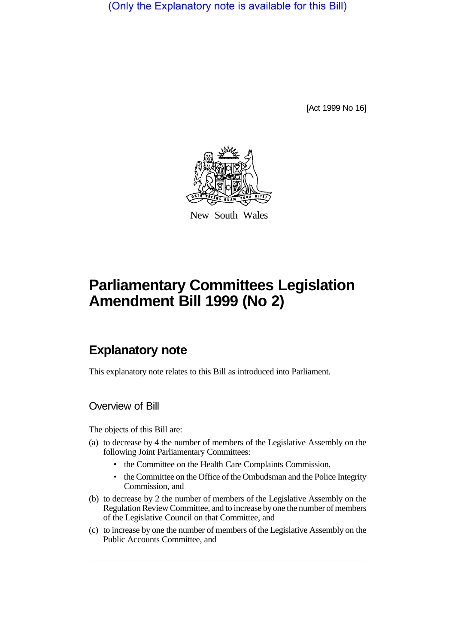(Only the Explanatory note is available for this Bill)

[Act 1999 No 16]



New South Wales

## **Parliamentary Committees Legislation Amendment Bill 1999 (No 2)**

## **Explanatory note**

This explanatory note relates to this Bill as introduced into Parliament.

Overview of Bill

The objects of this Bill are:

- (a) to decrease by 4 the number of members of the Legislative Assembly on the following Joint Parliamentary Committees:
	- the Committee on the Health Care Complaints Commission,
	- the Committee on the Office of the Ombudsman and the Police Integrity Commission, and
- (b) to decrease by 2 the number of members of the Legislative Assembly on the Regulation Review Committee, and to increase by one the number of members of the Legislative Council on that Committee, and
- (c) to increase by one the number of members of the Legislative Assembly on the Public Accounts Committee, and